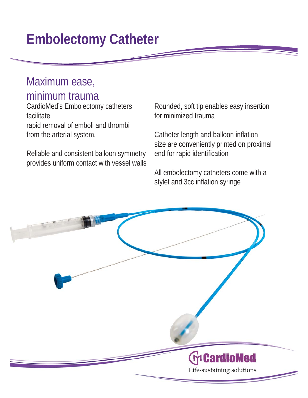## **Embolectomy Catheter**

## Maximum ease, minimum trauma

CardioMed's Embolectomy catheters facilitate rapid removal of emboli and thrombi from the arterial system.

Reliable and consistent balloon symmetry provides uniform contact with vessel walls for minimized trauma

Embolectomy catheters Rounded, soft tip enables easy insertion<br>for minimized trauma<br>l of emboli and thrombi<br>ial system. Catheter length and balloon inflation<br>size are conveniently printed on proxima<br>consistent balloon symm Catheter length and balloon inflation size are conveniently printed on proximal end for rapid identification

> All embolectomy catheters come with a stylet and 3cc inflation syringe